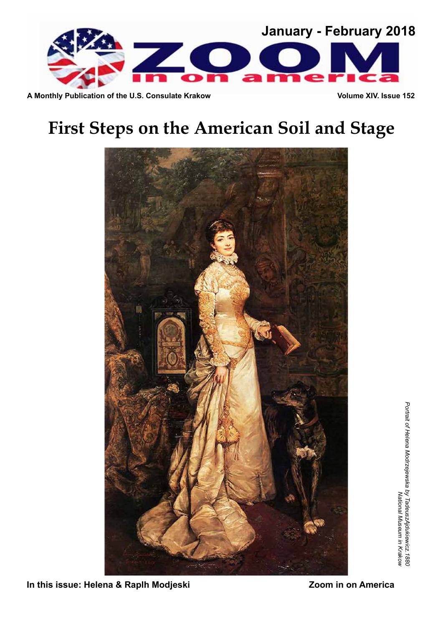

A Monthly Publication of the U.S. Consulate Krakow **Volume XIV. Issue 152** 

# **First Steps on the American Soil and Stage**



**In this issue: Helena & Raplh Modjeski No. 200 Medical Communist Properties**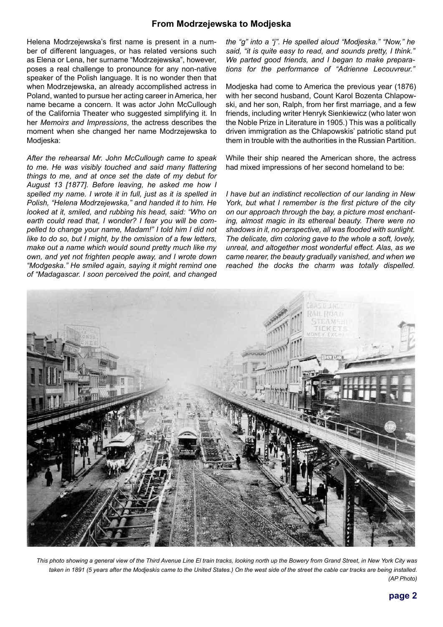### **From Modrzejewska to Modjeska**

Helena Modrzejewska's first name is present in a number of different languages, or has related versions such as Elena or Lena, her surname "Modrzejewska", however, poses a real challenge to pronounce for any non-native speaker of the Polish language. It is no wonder then that when Modrzejewska, an already accomplished actress in Poland, wanted to pursue her acting career in America, her name became a concern. It was actor John McCullough of the California Theater who suggested simplifying it. In her *Memoirs and Impressions*, the actress describes the moment when she changed her name Modrzejewska to Modjeska:

*After the rehearsal Mr. John McCullough came to speak to me. He was visibly touched and said many flattering things to me, and at once set the date of my debut for August 13 [1877]. Before leaving, he asked me how I spelled my name. I wrote it in full, just as it is spelled in Polish, "Helena Modrzejewska," and handed it to him. He looked at it, smiled, and rubbing his head, said: "Who on earth could read that, I wonder? I fear you will be compelled to change your name, Madam!" I told him I did not like to do so, but I might, by the omission of a few letters, make out a name which would sound pretty much like my own, and yet not frighten people away, and I wrote down "Modgeska." He smiled again, saying it might remind one of "Madagascar. I soon perceived the point, and changed*

*the "g" into a "j". He spelled aloud "Modjeska." "Now," he said, "it is quite easy to read, and sounds pretty, I think." We parted good friends, and I began to make preparations for the performance of "Adrienne Lecouvreur."*

Modjeska had come to America the previous year (1876) with her second husband, Count Karol Bozenta Chlapowski, and her son, Ralph, from her first marriage, and a few friends, including writer Henryk Sienkiewicz (who later won the Noble Prize in Literature in 1905.) This was a politically driven immigration as the Chlapowskis' patriotic stand put them in trouble with the authorities in the Russian Partition.

While their ship neared the American shore, the actress had mixed impressions of her second homeland to be:

*I have but an indistinct recollection of our landing in New York, but what I remember is the first picture of the city on our approach through the bay, a picture most enchanting, almost magic in its ethereal beauty. There were no shadows in it, no perspective, all was flooded with sunlight. The delicate, dim coloring gave to the whole a soft, lovely, unreal, and altogether most wonderful effect. Alas, as we came nearer, the beauty gradually vanished, and when we reached the docks the charm was totally dispelled.* 



*This photo showing a general view of the Third Avenue Line El train tracks, looking north up the Bowery from Grand Street, in New York City was taken in 1891 (5 years after the Modjeskis came to the United States.) On the west side of the street the cable car tracks are being installed. (AP Photo)*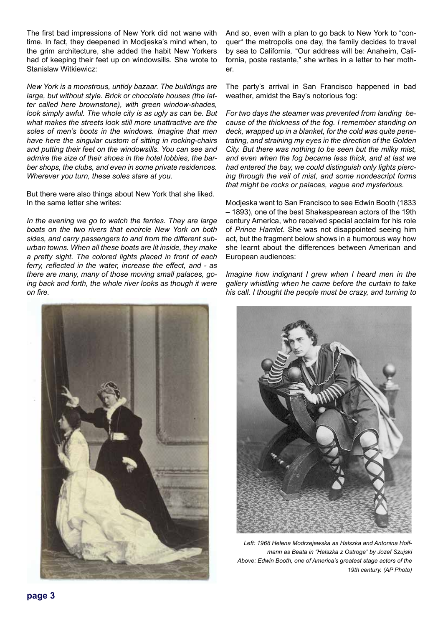The first bad impressions of New York did not wane with time. In fact, they deepened in Modjeska's mind when, to the grim architecture, she added the habit New Yorkers had of keeping their feet up on windowsills. She wrote to Stanislaw Witkiewicz:

*New York is a monstrous, untidy bazaar. The buildings are large, but without style. Brick or chocolate houses (the latter called here brownstone), with green window-shades, look simply awful. The whole city is as ugly as can be. But what makes the streets look still more unattractive are the soles of men's boots in the windows. Imagine that men have here the singular custom of sitting in rocking-chairs and putting their feet on the windowsills. You can see and admire the size of their shoes in the hotel lobbies, the barber shops, the clubs, and even in some private residences. Wherever you turn, these soles stare at you.*

But there were also things about New York that she liked. In the same letter she writes:

*In the evening we go to watch the ferries. They are large boats on the two rivers that encircle New York on both sides, and carry passengers to and from the different suburban towns. When all these boats are lit inside, they make a pretty sight. The colored lights placed in front of each ferry, reflected in the water, increase the effect, and - as there are many, many of those moving small palaces, going back and forth, the whole river looks as though it were on fire.*



And so, even with a plan to go back to New York to "conquer" the metropolis one day, the family decides to travel by sea to California. "Our address will be: Anaheim, California, poste restante," she writes in a letter to her mother.

The party's arrival in San Francisco happened in bad weather, amidst the Bay's notorious fog:

*For two days the steamer was prevented from landing because of the thickness of the fog. I remember standing on deck, wrapped up in a blanket, for the cold was quite penetrating, and straining my eyes in the direction of the Golden City. But there was nothing to be seen but the milky mist, and even when the fog became less thick, and at last we had entered the bay, we could distinguish only lights piercing through the veil of mist, and some nondescript forms that might be rocks or palaces, vague and mysterious.*

Modjeska went to San Francisco to see Edwin Booth (1833 – 1893), one of the best Shakespearean actors of the 19th century America, who received special acclaim for his role of *Prince Hamlet*. She was not disappointed seeing him act, but the fragment below shows in a humorous way how she learnt about the differences between American and European audiences:

*Imagine how indignant I grew when I heard men in the gallery whistling when he came before the curtain to take his call. I thought the people must be crazy, and turning to* 



*Left: 1968 Helena Modrzejewska as Halszka and Antonina Hoffmann as Beata in "Halszka z Ostroga" by Jozef Szujski Above: Edwin Booth, one of America's greatest stage actors of the 19th century. (AP Photo)*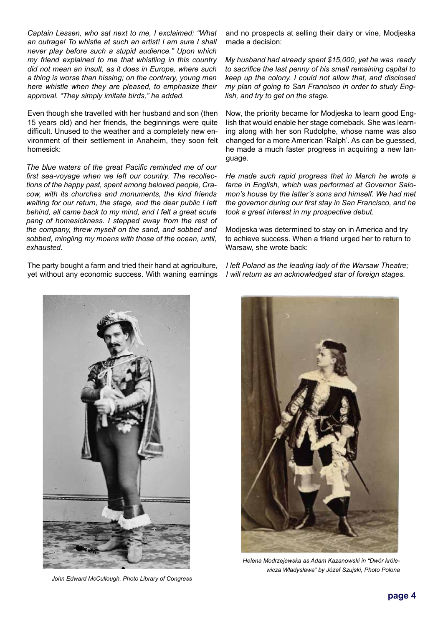*Captain Lessen, who sat next to me, I exclaimed: "What an outrage! To whistle at such an artist! I am sure I shall never play before such a stupid audience." Upon which my friend explained to me that whistling in this country did not mean an insult, as it does in Europe, where such a thing is worse than hissing; on the contrary, young men here whistle when they are pleased, to emphasize their approval. "They simply imitate birds," he added.*

Even though she travelled with her husband and son (then 15 years old) and her friends, the beginnings were quite difficult. Unused to the weather and a completely new environment of their settlement in Anaheim, they soon felt homesick:

*The blue waters of the great Pacific reminded me of our first sea-voyage when we left our country. The recollections of the happy past, spent among beloved people, Cracow, with its churches and monuments, the kind friends waiting for our return, the stage, and the dear public I left behind, all came back to my mind, and I felt a great acute pang of homesickness. I stepped away from the rest of the company, threw myself on the sand, and sobbed and sobbed, mingling my moans with those of the ocean, until, exhausted.*

The party bought a farm and tried their hand at agriculture, yet without any economic success. With waning earnings and no prospects at selling their dairy or vine, Modjeska made a decision:

*My husband had already spent \$15,000, yet he was ready to sacrifice the last penny of his small remaining capital to keep up the colony. I could not allow that, and disclosed my plan of going to San Francisco in order to study English, and try to get on the stage.*

Now, the priority became for Modjeska to learn good English that would enable her stage comeback. She was learning along with her son Rudolphe, whose name was also changed for a more American 'Ralph'. As can be guessed, he made a much faster progress in acquiring a new language.

*He made such rapid progress that in March he wrote a farce in English, which was performed at Governor Salomon's house by the latter's sons and himself. We had met the governor during our first stay in San Francisco, and he took a great interest in my prospective debut.*

Modjeska was determined to stay on in America and try to achieve success. When a friend urged her to return to Warsaw, she wrote back:

*I left Poland as the leading lady of the Warsaw Theatre; I will return as an acknowledged star of foreign stages.*



*John Edward McCullough. Photo Library of Congress*



*Helena Modrzejewska as Adam Kazanowski in "Dwór królewicza Władysława" by Józef Szujski, Photo Polona*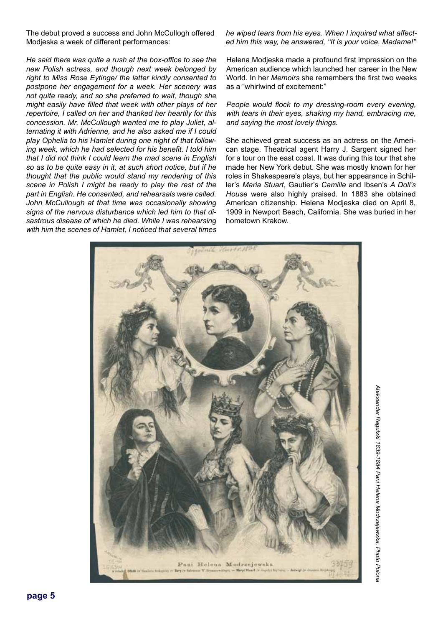The debut proved a success and John McCullogh offered Modjeska a week of different performances:

*He said there was quite a rush at the box-office to see the new Polish actress, and though next week belonged by right to Miss Rose Eytinge/ the latter kindly consented to postpone her engagement for a week. Her scenery was not quite ready, and so she preferred to wait, though she might easily have filled that week with other plays of her repertoire, I called on her and thanked her heartily for this concession. Mr. McCullough wanted me to play Juliet, alternating it with Adrienne, and he also asked me if I could play Ophelia to his Hamlet during one night of that following week, which he had selected for his benefit. I told him that I did not think I could learn the mad scene in English so as to be quite easy in it, at such short notice, but if he thought that the public would stand my rendering of this scene in Polish I might be ready to play the rest of the part in English. He consented, and rehearsals were called. John McCullough at that time was occasionally showing signs of the nervous disturbance which led him to that disastrous disease of which he died. While I was rehearsing with him the scenes of Hamlet, I noticed that several times* 

#### *he wiped tears from his eyes. When I inquired what affected him this way, he answered, ''It is your voice, Madame!"*

Helena Modjeska made a profound first impression on the American audience which launched her career in the New World. In her *Memoirs* she remembers the first two weeks as a "whirlwind of excitement:"

#### *People would flock to my dressing-room every evening, with tears in their eyes, shaking my hand, embracing me, and saying the most lovely things.*

She achieved great success as an actress on the American stage. Theatrical agent Harry J. Sargent signed her for a tour on the east coast. It was during this tour that she made her New York debut. She was mostly known for her roles in Shakespeare's plays, but her appearance in Schiller's *Maria Stuart*, Gautier's *Camille* and Ibsen's *A Doll's House* were also highly praised. In 1883 she obtained American citizenship. Helena Modjeska died on April 8, 1909 in Newport Beach, California. She was buried in her hometown Krakow.

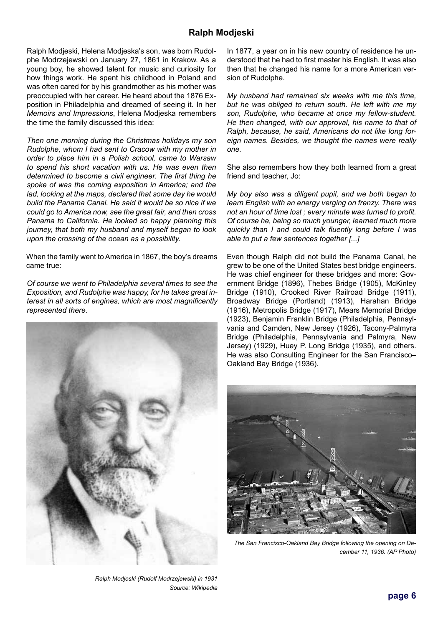## **Ralph Modjeski**

Ralph Modjeski, Helena Modjeska's son, was born Rudolphe Modrzejewski on January 27, 1861 in Krakow. As a young boy, he showed talent for music and curiosity for how things work. He spent his childhood in Poland and was often cared for by his grandmother as his mother was preoccupied with her career. He heard about the 1876 Exposition in Philadelphia and dreamed of seeing it. In her *Memoirs and Impressions*, Helena Modjeska remembers the time the family discussed this idea:

*Then one morning during the Christmas holidays my son Rudolphe, whom I had sent to Cracow with my mother in order to place him in a Polish school, came to Warsaw to spend his short vacation with us. He was even then determined to become a civil engineer. The first thing he spoke of was the coming exposition in America; and the lad, looking at the maps, declared that some day he would build the Panama Canal. He said it would be so nice if we could go to America now, see the great fair, and then cross Panama to California. He looked so happy planning this journey, that both my husband and myself began to look upon the crossing of the ocean as a possibility.*

When the family went to America in 1867, the boy's dreams came true:

*Of course we went to Philadelphia several times to see the Exposition, and Rudolphe was happy, for he takes great interest in all sorts of engines, which are most magnificently represented there.*



*Ralph Modjeski (Rudolf Modrzejewski) in 1931 Source: Wikipedia*

In 1877, a year on in his new country of residence he understood that he had to first master his English. It was also then that he changed his name for a more American version of Rudolphe.

*My husband had remained six weeks with me this time, but he was obliged to return south. He left with me my son, Rudolphe, who became at once my fellow-student. He then changed, with our approval, his name to that of Ralph, because, he said, Americans do not like long foreign names. Besides, we thought the names were really one.* 

She also remembers how they both learned from a great friend and teacher, Jo:

*My boy also was a diligent pupil, and we both began to learn English with an energy verging on frenzy. There was not an hour of time lost ; every minute was turned to profit. Of course he, being so much younger, learned much more quickly than I and could talk fluently long before I was able to put a few sentences together [...]*

Even though Ralph did not build the Panama Canal, he grew to be one of the United States best bridge engineers. He was chief engineer for these bridges and more: Government Bridge (1896), Thebes Bridge (1905), McKinley Bridge (1910), Crooked River Railroad Bridge (1911), Broadway Bridge (Portland) (1913), Harahan Bridge (1916), Metropolis Bridge (1917), Mears Memorial Bridge (1923), Benjamin Franklin Bridge (Philadelphia, Pennsylvania and Camden, New Jersey (1926), Tacony-Palmyra Bridge (Philadelphia, Pennsylvania and Palmyra, New Jersey) (1929), Huey P. Long Bridge (1935), and others. He was also Consulting Engineer for the San Francisco– Oakland Bay Bridge (1936).



*The San Francisco-Oakland Bay Bridge following the opening on December 11, 1936. (AP Photo)*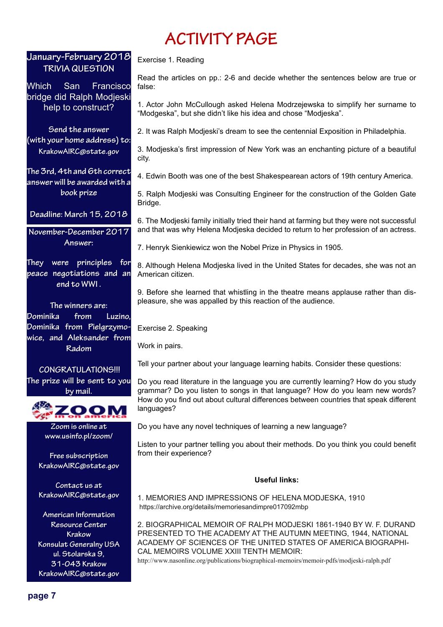# **ACTIVITY PAGE**

# **January-February 2018 TRIVIA QUESTION**

Which San Francisco bridge did Ralph Modjeski help to construct?

**Send the answer (with your home address) to: KrakowAIRC@state.gov**

**The 3rd, 4th and 6th correct answer will be awarded with a book prize**

**Deadline: March 15, 2018**

**November-December 2017 Answer:** 

**They were principles for peace negotiations and an end to WWI .** 

**The winners are: Dominika from Luzino, Dominika from Pielgrzymowice, and Aleksander from Radom**

 **CONGRATULATIONS!!! The prize will be sent to you by mail.**



**Zoom is online at www.usinfo.pl/zoom/**

**Free subscription KrakowAIRC@state.gov**

**Contact us at KrakowAIRC@state.gov**

**American Information Resource Center Krakow Konsulat Generalny USA ul. Stolarska 9, 31-043 Krakow KrakowAIRC@state.gov**

Exercise 1. Reading

Read the articles on pp.: 2-6 and decide whether the sentences below are true or false:

1. Actor John McCullough asked Helena Modrzejewska to simplify her surname to "Modgeska", but she didn't like his idea and chose "Modjeska".

2. It was Ralph Modjeski's dream to see the centennial Exposition in Philadelphia.

3. Modjeska's first impression of New York was an enchanting picture of a beautiful city.

4. Edwin Booth was one of the best Shakespearean actors of 19th century America.

5. Ralph Modjeski was Consulting Engineer for the construction of the Golden Gate Bridge.

6. The Modjeski family initially tried their hand at farming but they were not successful and that was why Helena Modjeska decided to return to her profession of an actress.

7. Henryk Sienkiewicz won the Nobel Prize in Physics in 1905.

8. Although Helena Modjeska lived in the United States for decades, she was not an American citizen.

9. Before she learned that whistling in the theatre means applause rather than displeasure, she was appalled by this reaction of the audience.

Exercise 2. Speaking

Work in pairs.

Tell your partner about your language learning habits. Consider these questions:

Do you read literature in the language you are currently learning? How do you study grammar? Do you listen to songs in that language? How do you learn new words? How do you find out about cultural differences between countries that speak different languages?

Do you have any novel techniques of learning a new language?

Listen to your partner telling you about their methods. Do you think you could benefit from their experience?

### **Useful links:**

1. MEMORIES AND IMPRESSIONS OF HELENA MODJESKA, 1910 https://archive.org/details/memoriesandimpre017092mbp

2. BIOGRAPHICAL MEMOIR OF RALPH MODJESKI 1861-1940 BY W. F. DURAND PRESENTED TO THE ACADEMY AT THE AUTUMN MEETING, 1944, NATIONAL ACADEMY OF SCIENCES OF THE UNITED STATES OF AMERICA BIOGRAPHI-CAL MEMOIRS VOLUME XXIII TENTH MEMOIR:

http://www.nasonline.org/publications/biographical-memoirs/memoir-pdfs/modjeski-ralph.pdf